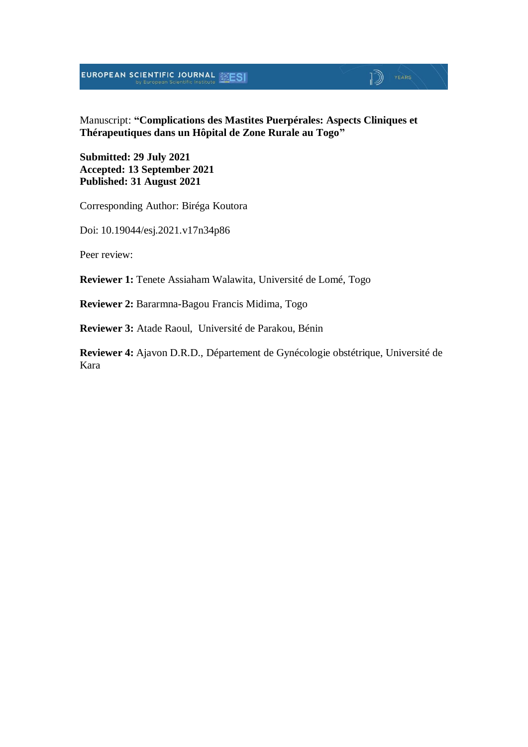#### Manuscript: **"Complications des Mastites Puerpérales: Aspects Cliniques et Thérapeutiques dans un Hôpital de Zone Rurale au Togo"**

 $\mathbb{D}$   $\mathbb{P}$   $\mathbb{P}$   $\mathbb{P}$   $\mathbb{P}$   $\mathbb{P}$   $\mathbb{P}$   $\mathbb{P}$   $\mathbb{P}$   $\mathbb{P}$   $\mathbb{P}$   $\mathbb{P}$   $\mathbb{P}$   $\mathbb{P}$   $\mathbb{P}$   $\mathbb{P}$   $\mathbb{P}$   $\mathbb{P}$   $\mathbb{P}$   $\mathbb{P}$   $\mathbb{P}$   $\mathbb{P}$   $\mathbb{P}$   $\mathbb{P}$   $\mathbb{$ 

**Submitted: 29 July 2021 Accepted: 13 September 2021 Published: 31 August 2021**

Corresponding Author: Biréga Koutora

Doi: 10.19044/esj.2021.v17n34p86

Peer review:

**Reviewer 1:** Tenete Assiaham Walawita, Université de Lomé, Togo

**Reviewer 2:** Bararmna-Bagou Francis Midima, Togo

**Reviewer 3:** Atade Raoul, Université de Parakou, Bénin

**Reviewer 4:** Ajavon D.R.D., Département de Gynécologie obstétrique, Université de Kara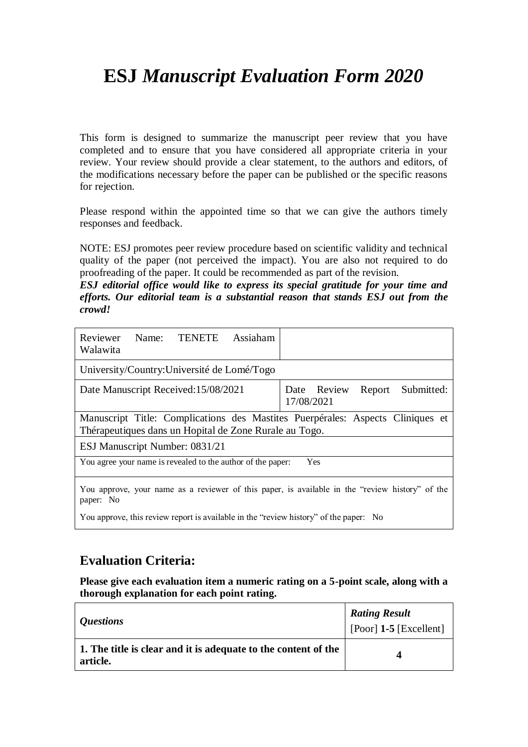This form is designed to summarize the manuscript peer review that you have completed and to ensure that you have considered all appropriate criteria in your review. Your review should provide a clear statement, to the authors and editors, of the modifications necessary before the paper can be published or the specific reasons for rejection.

Please respond within the appointed time so that we can give the authors timely responses and feedback.

NOTE: ESJ promotes peer review procedure based on scientific validity and technical quality of the paper (not perceived the impact). You are also not required to do proofreading of the paper. It could be recommended as part of the revision.

*ESJ editorial office would like to express its special gratitude for your time and efforts. Our editorial team is a substantial reason that stands ESJ out from the crowd!*

| Assiaham<br>Reviewer<br><b>TENETE</b><br>Name:<br>Walawita                                                                               |                                                   |
|------------------------------------------------------------------------------------------------------------------------------------------|---------------------------------------------------|
| University/Country: Université de Lomé/Togo                                                                                              |                                                   |
| Date Manuscript Received: 15/08/2021                                                                                                     | Date Review<br>Submitted:<br>Report<br>17/08/2021 |
| Manuscript Title: Complications des Mastites Puerpérales: Aspects Cliniques et<br>Thérapeutiques dans un Hopital de Zone Rurale au Togo. |                                                   |
| ESJ Manuscript Number: 0831/21                                                                                                           |                                                   |
| You agree your name is revealed to the author of the paper:                                                                              | Yes                                               |
| You approve, your name as a reviewer of this paper, is available in the "review history" of the<br>paper: No                             |                                                   |

You approve, this review report is available in the "review history" of the paper: No

#### **Evaluation Criteria:**

| <i><b>Questions</b></i>                                                    | <b>Rating Result</b><br>[Poor] $1-5$ [Excellent] |
|----------------------------------------------------------------------------|--------------------------------------------------|
| 1. The title is clear and it is adequate to the content of the<br>article. | Δ                                                |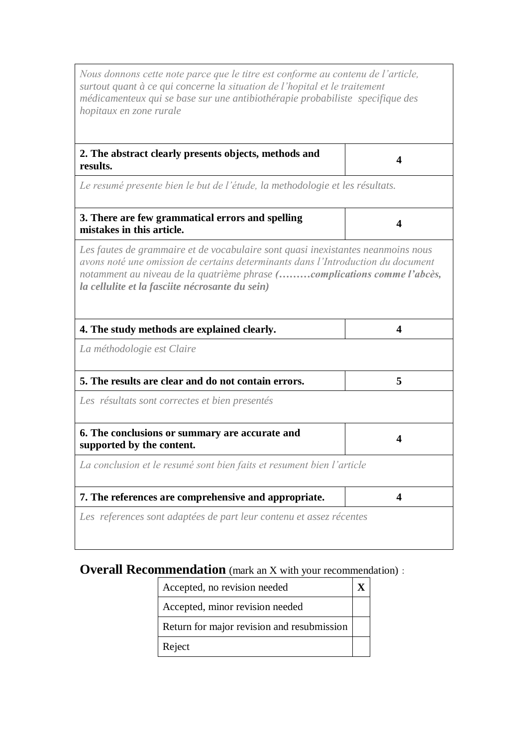| Nous donnons cette note parce que le titre est conforme au contenu de l'article,<br>surtout quant à ce qui concerne la situation de l'hopital et le traitement<br>médicamenteux qui se base sur une antibiothérapie probabiliste specifique des<br>hopitaux en zone rurale                          |                         |
|-----------------------------------------------------------------------------------------------------------------------------------------------------------------------------------------------------------------------------------------------------------------------------------------------------|-------------------------|
| 2. The abstract clearly presents objects, methods and<br>results.                                                                                                                                                                                                                                   | 4                       |
| Le resumé presente bien le but de l'étude, la methodologie et les résultats.                                                                                                                                                                                                                        |                         |
| 3. There are few grammatical errors and spelling<br>mistakes in this article.                                                                                                                                                                                                                       | 4                       |
| Les fautes de grammaire et de vocabulaire sont quasi inexistantes neanmoins nous<br>avons noté une omission de certains determinants dans l'Introduction du document<br>notamment au niveau de la quatrième phrase (complications comme l'abcès,<br>la cellulite et la fasciite nécrosante du sein) |                         |
| 4. The study methods are explained clearly.                                                                                                                                                                                                                                                         | 4                       |
| La méthodologie est Claire                                                                                                                                                                                                                                                                          |                         |
| 5. The results are clear and do not contain errors.                                                                                                                                                                                                                                                 | 5                       |
| Les résultats sont correctes et bien presentés                                                                                                                                                                                                                                                      |                         |
| 6. The conclusions or summary are accurate and<br>supported by the content.                                                                                                                                                                                                                         | 4                       |
| La conclusion et le resumé sont bien faits et resument bien l'article                                                                                                                                                                                                                               |                         |
| 7. The references are comprehensive and appropriate.                                                                                                                                                                                                                                                | $\overline{\mathbf{4}}$ |
| Les references sont adaptées de part leur contenu et assez récentes                                                                                                                                                                                                                                 |                         |

| Accepted, no revision needed               |  |
|--------------------------------------------|--|
| Accepted, minor revision needed            |  |
| Return for major revision and resubmission |  |
| Reject                                     |  |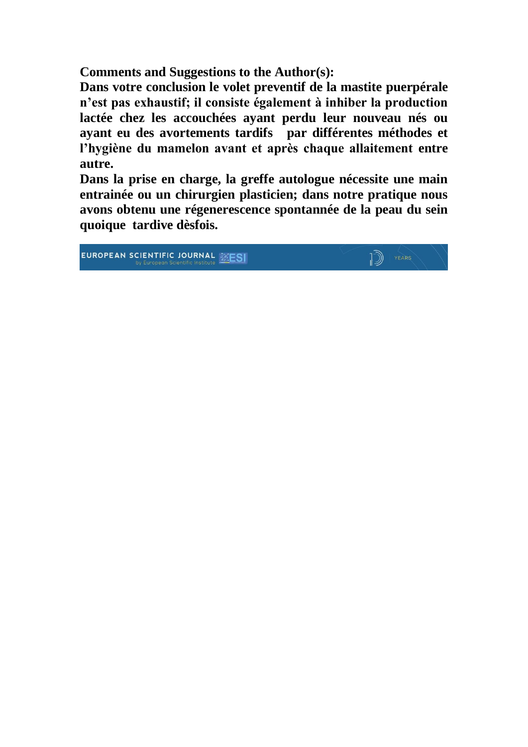**Comments and Suggestions to the Author(s):**

**Dans votre conclusion le volet preventif de la mastite puerpérale n'est pas exhaustif; il consiste également à inhiber la production lactée chez les accouchées ayant perdu leur nouveau nés ou ayant eu des avortements tardifs par différentes méthodes et l'hygiène du mamelon avant et après chaque allaitement entre autre.**

**Dans la prise en charge, la greffe autologue nécessite une main entrainée ou un chirurgien plasticien; dans notre pratique nous avons obtenu une régenerescence spontannée de la peau du sein quoique tardive dèsfois.**

 $\sqrt{ }$   $\sqrt{ }$   $\sqrt{ }$   $\sqrt{ }$   $\sqrt{ }$   $\sqrt{ }$   $\sqrt{ }$   $\sqrt{ }$   $\sqrt{ }$   $\sqrt{ }$   $\sqrt{ }$   $\sqrt{ }$   $\sqrt{ }$   $\sqrt{ }$   $\sqrt{ }$   $\sqrt{ }$   $\sqrt{ }$   $\sqrt{ }$   $\sqrt{ }$   $\sqrt{ }$   $\sqrt{ }$   $\sqrt{ }$   $\sqrt{ }$   $\sqrt{ }$   $\sqrt{ }$   $\sqrt{ }$   $\sqrt{ }$   $\sqrt{ }$   $\sqrt{ }$   $\sqrt{ }$   $\sqrt{ }$   $\sqrt{$ 

EUROPEAN SCIENTIFIC JOURNAL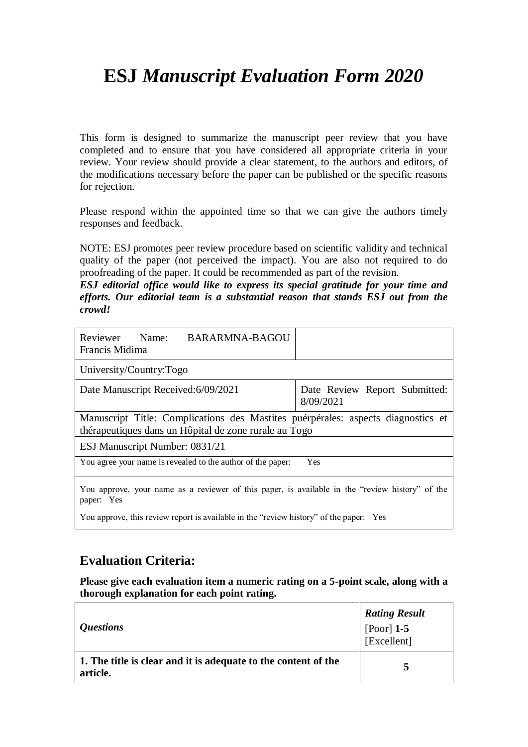This form is designed to summarize the manuscript peer review that you have completed and to ensure that you have considered all appropriate criteria in your review. Your review should provide a clear statement, to the authors and editors, of the modifications necessary before the paper can be published or the specific reasons for rejection.

Please respond within the appointed time so that we can give the authors timely responses and feedback.

NOTE: ESJ promotes peer review procedure based on scientific validity and technical quality of the paper (not perceived the impact). You are also not required to do proofreading of the paper. It could be recommended as part of the revision.

*ESJ editorial office would like to express its special gratitude for your time and efforts. Our editorial team is a substantial reason that stands ESJ out from the crowd!*

| <b>BARARMNA-BAGOU</b><br>Reviewer<br>Name:<br>Francis Midima                                                                              |                                            |  |
|-------------------------------------------------------------------------------------------------------------------------------------------|--------------------------------------------|--|
| University/Country:Togo                                                                                                                   |                                            |  |
| Date Manuscript Received: 6/09/2021                                                                                                       | Date Review Report Submitted:<br>8/09/2021 |  |
| Manuscript Title: Complications des Mastites puérpérales: aspects diagnostics et<br>thérapeutiques dans un Hôpital de zone rurale au Togo |                                            |  |
| ESJ Manuscript Number: 0831/21                                                                                                            |                                            |  |
| You agree your name is revealed to the author of the paper:                                                                               | Yes                                        |  |
| You approve, your name as a reviewer of this paper, is available in the "review history" of the<br>paper: Yes                             |                                            |  |

You approve, this review report is available in the "review history" of the paper: Yes

#### **Evaluation Criteria:**

| <i>Questions</i>                                                           | <b>Rating Result</b><br>[Poor] $1-5$<br>[Excellent] |
|----------------------------------------------------------------------------|-----------------------------------------------------|
| 1. The title is clear and it is adequate to the content of the<br>article. |                                                     |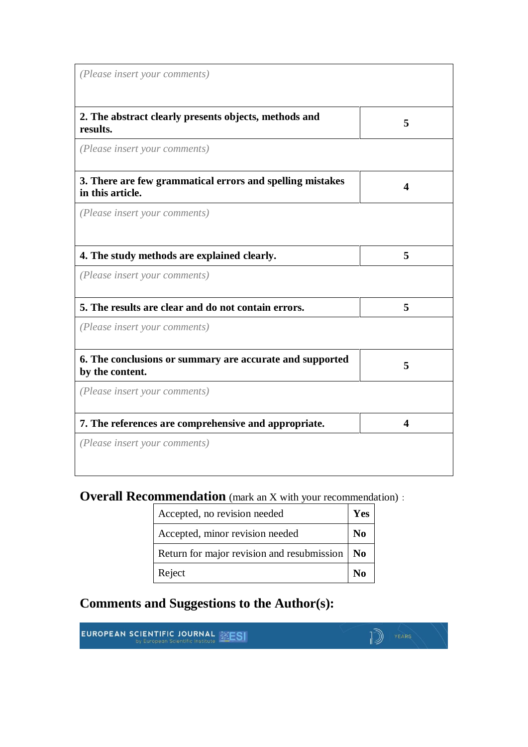| (Please insert your comments)                                                 |   |
|-------------------------------------------------------------------------------|---|
| 2. The abstract clearly presents objects, methods and<br>results.             | 5 |
| (Please insert your comments)                                                 |   |
| 3. There are few grammatical errors and spelling mistakes<br>in this article. | 4 |
| (Please insert your comments)                                                 |   |
| 4. The study methods are explained clearly.                                   | 5 |
| (Please insert your comments)                                                 |   |
| 5. The results are clear and do not contain errors.                           | 5 |
| (Please insert your comments)                                                 |   |
| 6. The conclusions or summary are accurate and supported<br>by the content.   | 5 |
| (Please insert your comments)                                                 |   |
| 7. The references are comprehensive and appropriate.                          | 4 |
| (Please insert your comments)                                                 |   |

| Accepted, no revision needed                          | Yes            |
|-------------------------------------------------------|----------------|
| Accepted, minor revision needed                       | N <sub>0</sub> |
| Return for major revision and resubmission $\vert$ No |                |
| Reject                                                |                |

 $\mathbb{D}$   $\mathbb{P}$   $\mathbb{P}$   $\mathbb{P}$   $\mathbb{P}$   $\mathbb{P}$   $\mathbb{P}$   $\mathbb{P}$   $\mathbb{P}$   $\mathbb{P}$   $\mathbb{P}$   $\mathbb{P}$   $\mathbb{P}$   $\mathbb{P}$   $\mathbb{P}$   $\mathbb{P}$   $\mathbb{P}$   $\mathbb{P}$   $\mathbb{P}$   $\mathbb{P}$   $\mathbb{P}$   $\mathbb{P}$   $\mathbb{P}$   $\mathbb{P}$   $\mathbb{$ 

**Comments and Suggestions to the Author(s):**

**EUROPEAN SCIENTIFIC JOURNAL SESI**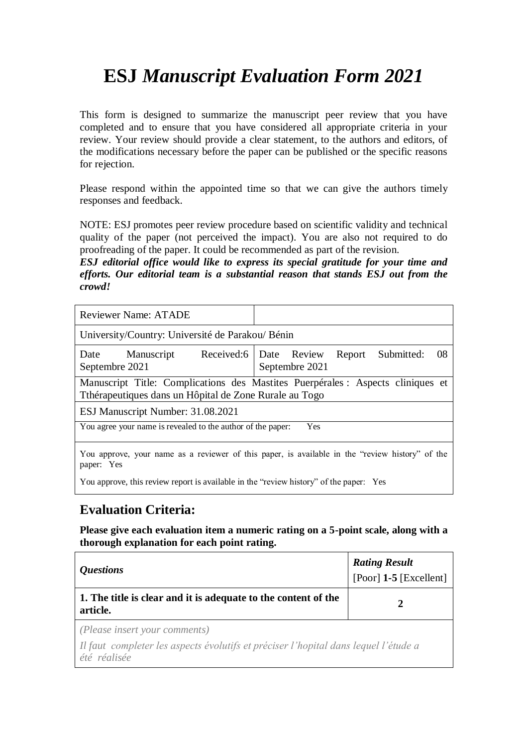This form is designed to summarize the manuscript peer review that you have completed and to ensure that you have considered all appropriate criteria in your review. Your review should provide a clear statement, to the authors and editors, of the modifications necessary before the paper can be published or the specific reasons for rejection.

Please respond within the appointed time so that we can give the authors timely responses and feedback.

NOTE: ESJ promotes peer review procedure based on scientific validity and technical quality of the paper (not perceived the impact). You are also not required to do proofreading of the paper. It could be recommended as part of the revision.

*ESJ editorial office would like to express its special gratitude for your time and efforts. Our editorial team is a substantial reason that stands ESJ out from the crowd!*

| <b>Reviewer Name: ATADE</b>                                 |                                                                                                 |
|-------------------------------------------------------------|-------------------------------------------------------------------------------------------------|
| University/Country: Université de Parakou/ Bénin            |                                                                                                 |
| Manuscript<br>Date<br>Septembre 2021                        | Received:6   Date Review<br>Submitted:<br>-08<br>Report<br>Septembre 2021                       |
| Tthérapeutiques dans un Hôpital de Zone Rurale au Togo      | Manuscript Title: Complications des Mastites Puerpérales : Aspects cliniques et                 |
| ESJ Manuscript Number: 31.08.2021                           |                                                                                                 |
| You agree your name is revealed to the author of the paper: | Yes                                                                                             |
| paper: Yes                                                  | You approve, your name as a reviewer of this paper, is available in the "review history" of the |

You approve, this review report is available in the "review history" of the paper: Yes

#### **Evaluation Criteria:**

| <i><b>Questions</b></i>                                                                             | <b>Rating Result</b><br>[Poor] $1-5$ [Excellent] |
|-----------------------------------------------------------------------------------------------------|--------------------------------------------------|
| 1. The title is clear and it is adequate to the content of the<br>article.                          | $\mathbf{2}$                                     |
| (Please insert your comments)                                                                       |                                                  |
| Il faut completer les aspects évolutifs et préciser l'hopital dans lequel l'étude a<br>été réalisée |                                                  |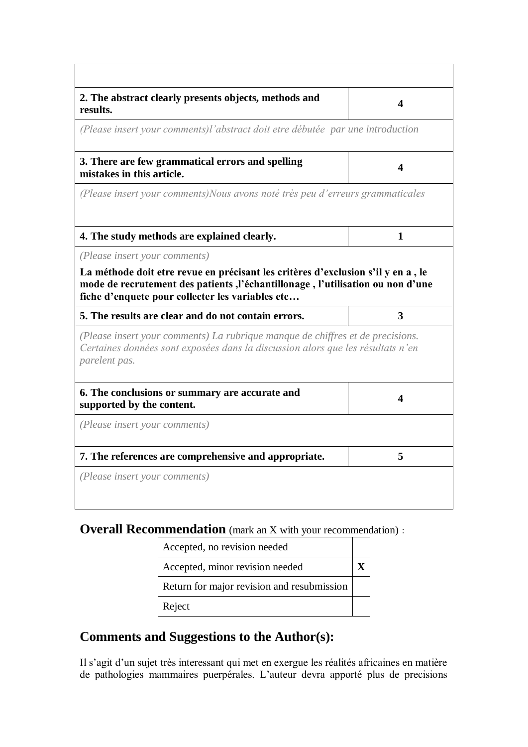| 2. The abstract clearly presents objects, methods and<br>results.                                                                                                                                                                                                             | 4            |
|-------------------------------------------------------------------------------------------------------------------------------------------------------------------------------------------------------------------------------------------------------------------------------|--------------|
| (Please insert your comments)l'abstract doit etre débutée par une introduction                                                                                                                                                                                                |              |
| 3. There are few grammatical errors and spelling<br>mistakes in this article.                                                                                                                                                                                                 | 4            |
| (Please insert your comments) Nous avons noté très peu d'erreurs grammaticales                                                                                                                                                                                                |              |
|                                                                                                                                                                                                                                                                               |              |
| 4. The study methods are explained clearly.                                                                                                                                                                                                                                   | $\mathbf{1}$ |
| (Please insert your comments)                                                                                                                                                                                                                                                 |              |
| La méthode doit etre revue en précisant les critères d'exclusion s'il y en a, le<br>mode de recrutement des patients, l'échantillonage, l'utilisation ou non d'une<br>fiche d'enquete pour collecter les variables etc<br>5. The results are clear and do not contain errors. | 3            |
| (Please insert your comments) La rubrique manque de chiffres et de precisions.<br>Certaines données sont exposées dans la discussion alors que les résultats n'en<br>parelent pas.                                                                                            |              |
| 6. The conclusions or summary are accurate and<br>supported by the content.                                                                                                                                                                                                   | 4            |
| (Please insert your comments)                                                                                                                                                                                                                                                 |              |
| 7. The references are comprehensive and appropriate.                                                                                                                                                                                                                          | 5            |

| Accepted, no revision needed               |  |
|--------------------------------------------|--|
| Accepted, minor revision needed            |  |
| Return for major revision and resubmission |  |
| Reject                                     |  |

### **Comments and Suggestions to the Author(s):**

Il s'agit d'un sujet très interessant qui met en exergue les réalités africaines en matière de pathologies mammaires puerpérales. L'auteur devra apporté plus de precisions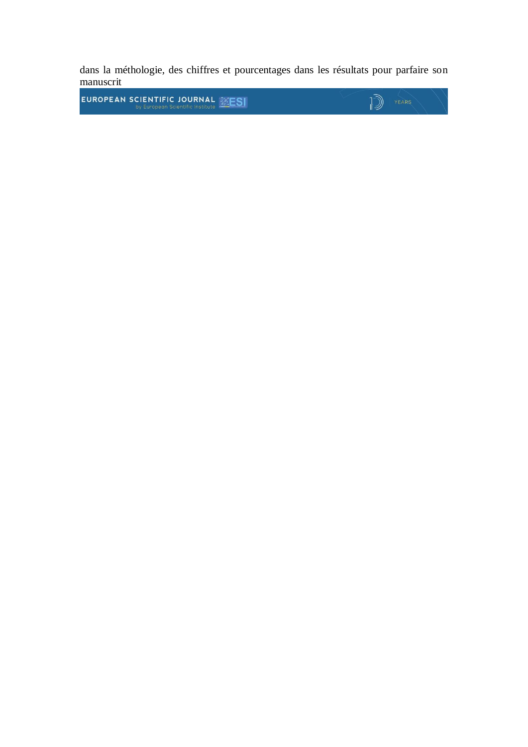dans la méthologie, des chiffres et pourcentages dans les résultats pour parfaire son manuscrit

 $\sqrt{2}$   $\sqrt{2}$ 

EUROPEAN SCIENTIFIC JOURNAL **EXESI**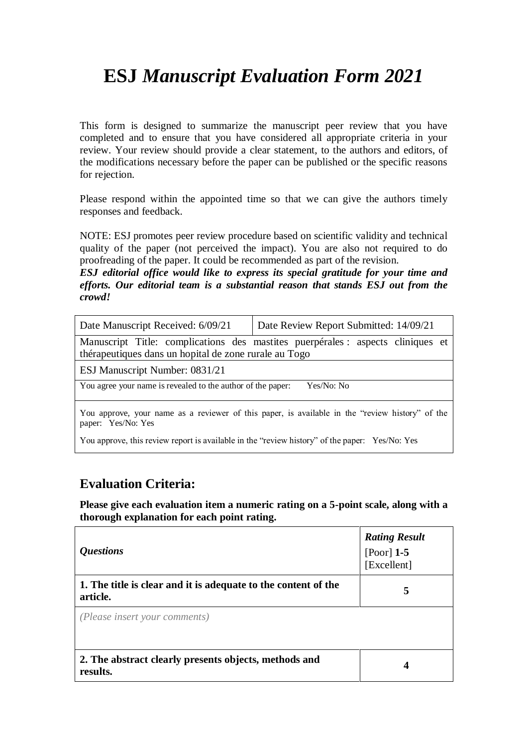This form is designed to summarize the manuscript peer review that you have completed and to ensure that you have considered all appropriate criteria in your review. Your review should provide a clear statement, to the authors and editors, of the modifications necessary before the paper can be published or the specific reasons for rejection.

Please respond within the appointed time so that we can give the authors timely responses and feedback.

NOTE: ESJ promotes peer review procedure based on scientific validity and technical quality of the paper (not perceived the impact). You are also not required to do proofreading of the paper. It could be recommended as part of the revision.

*ESJ editorial office would like to express its special gratitude for your time and efforts. Our editorial team is a substantial reason that stands ESJ out from the crowd!*

| Date Manuscript Received: 6/09/21                           | Date Review Report Submitted: 14/09/21                                                          |
|-------------------------------------------------------------|-------------------------------------------------------------------------------------------------|
| thérapeutiques dans un hopital de zone rurale au Togo       | Manuscript Title: complications des mastites puerpérales : aspects cliniques et                 |
| ESJ Manuscript Number: 0831/21                              |                                                                                                 |
| You agree your name is revealed to the author of the paper: | Yes/No: No                                                                                      |
| paper: Yes/No: Yes                                          | You approve, your name as a reviewer of this paper, is available in the "review history" of the |

You approve, this review report is available in the "review history" of the paper: Yes/No: Yes

#### **Evaluation Criteria:**

| <i><b>Questions</b></i>                                                    | <b>Rating Result</b><br>[Poor] $1-5$<br>[Excellent] |
|----------------------------------------------------------------------------|-----------------------------------------------------|
| 1. The title is clear and it is adequate to the content of the<br>article. | 5                                                   |
| (Please insert your comments)                                              |                                                     |
| 2. The abstract clearly presents objects, methods and<br>results.          | 4                                                   |